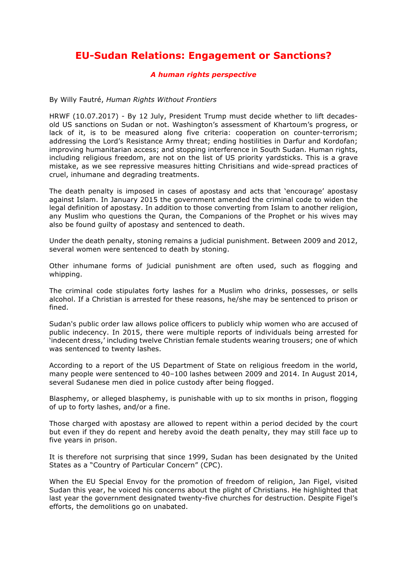## **EU-Sudan Relations: Engagement or Sanctions?**

## *A human rights perspective*

By Willy Fautré, *Human Rights Without Frontiers*

HRWF (10.07.2017) - By 12 July, President Trump must decide whether to lift decadesold US sanctions on Sudan or not. Washington's assessment of Khartoum's progress, or lack of it, is to be measured along five criteria: cooperation on counter-terrorism; addressing the Lord's Resistance Army threat; ending hostilities in Darfur and Kordofan; improving humanitarian access; and stopping interference in South Sudan. Human rights, including religious freedom, are not on the list of US priority yardsticks. This is a grave mistake, as we see repressive measures hitting Chrisitians and wide-spread practices of cruel, inhumane and degrading treatments.

The death penalty is imposed in cases of apostasy and acts that 'encourage' apostasy against Islam. In January 2015 the government amended the criminal code to widen the legal definition of apostasy. In addition to those converting from Islam to another religion, any Muslim who questions the Quran, the Companions of the Prophet or his wives may also be found guilty of apostasy and sentenced to death.

Under the death penalty, stoning remains a judicial punishment. Between 2009 and 2012, several women were sentenced to death by stoning.

Other inhumane forms of judicial punishment are often used, such as flogging and whipping.

The criminal code stipulates forty lashes for a Muslim who drinks, possesses, or sells alcohol. If a Christian is arrested for these reasons, he/she may be sentenced to prison or fined.

Sudan's public order law allows police officers to publicly whip women who are accused of public indecency. In 2015, there were multiple reports of individuals being arrested for 'indecent dress,' including twelve Christian female students wearing trousers; one of which was sentenced to twenty lashes.

According to a report of the US Department of State on religious freedom in the world, many people were sentenced to 40–100 lashes between 2009 and 2014. In August 2014, several Sudanese men died in police custody after being flogged.

Blasphemy, or alleged blasphemy, is punishable with up to six months in prison, flogging of up to forty lashes, and/or a fine.

Those charged with apostasy are allowed to repent within a period decided by the court but even if they do repent and hereby avoid the death penalty, they may still face up to five years in prison.

It is therefore not surprising that since 1999, Sudan has been designated by the United States as a "Country of Particular Concern" (CPC).

When the EU Special Envoy for the promotion of freedom of religion, Jan Figel, visited Sudan this year, he voiced his concerns about the plight of Christians. He highlighted that last year the government designated twenty-five churches for destruction. Despite Figel's efforts, the demolitions go on unabated.